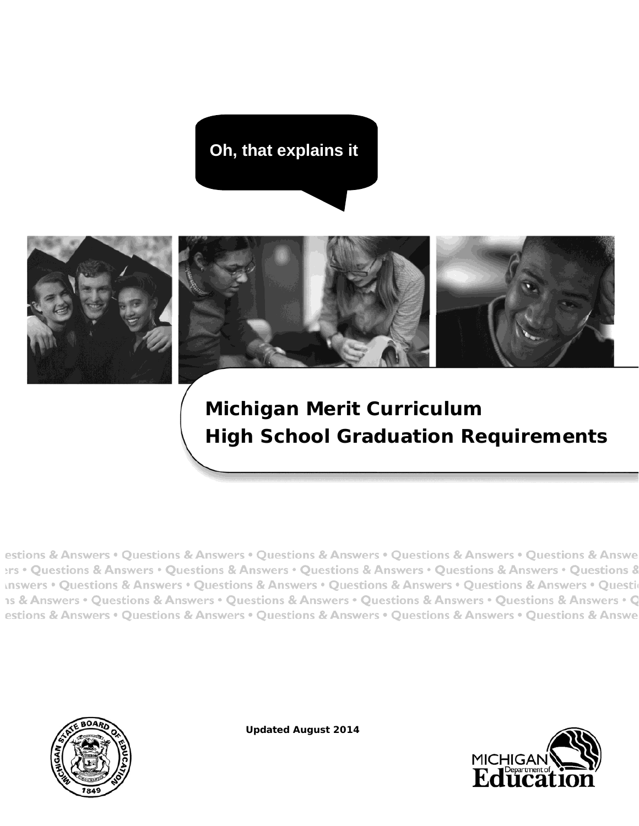**Oh, that explains it**



# **Michigan Merit Curriculum High School Graduation Requirements**

estions & Answers • Questions & Answers • Questions & Answers • Questions & Answers • Questions & Answe ers • Questions & Answers • Questions & Answers • Questions & Answers • Questions & Answers • Questions & Inswers • Questions & Answers • Questions & Answers • Questions & Answers • Questions & Answers • Questions 1s & Answers • Questions & Answers • Questions & Answers • Questions & Answers • Questions & Answers • Q estions & Answers • Questions & Answers • Questions & Answers • Questions & Answers • Questions & Answe



**Updated August 2014**

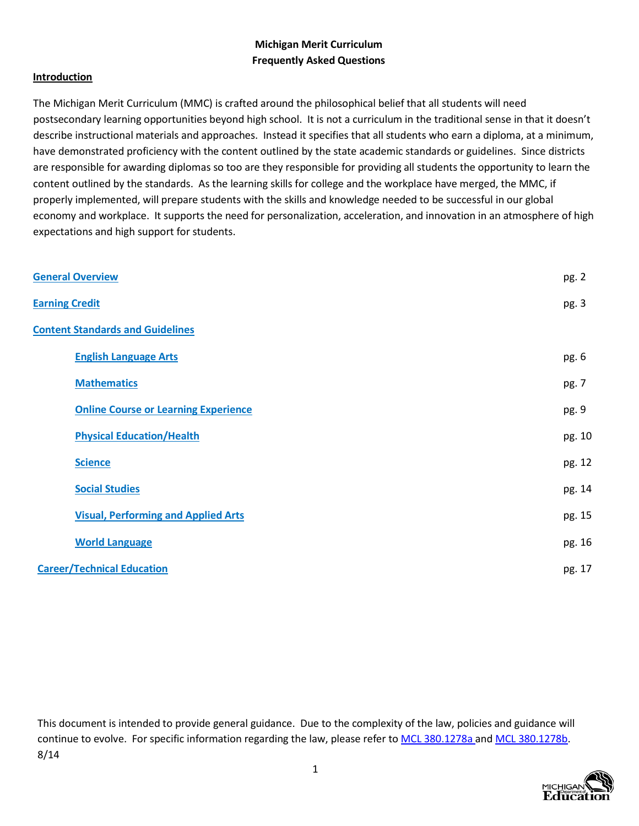## **Michigan Merit Curriculum Frequently Asked Questions**

## **Introduction**

The Michigan Merit Curriculum (MMC) is crafted around the philosophical belief that all students will need postsecondary learning opportunities beyond high school. It is not a curriculum in the traditional sense in that it doesn't describe instructional materials and approaches. Instead it specifies that all students who earn a diploma, at a minimum, have demonstrated proficiency with the content outlined by the state academic standards or guidelines. Since districts are responsible for awarding diplomas so too are they responsible for providing all students the opportunity to learn the content outlined by the standards. As the learning skills for college and the workplace have merged, the MMC, if properly implemented, will prepare students with the skills and knowledge needed to be successful in our global economy and workplace. It supports the need for personalization, acceleration, and innovation in an atmosphere of high expectations and high support for students.

| <b>General Overview</b>                     | pg. 2  |
|---------------------------------------------|--------|
| <b>Earning Credit</b>                       | pg. 3  |
| <b>Content Standards and Guidelines</b>     |        |
| <b>English Language Arts</b>                | pg. 6  |
| <b>Mathematics</b>                          | pg. 7  |
| <b>Online Course or Learning Experience</b> | pg. 9  |
| <b>Physical Education/Health</b>            | pg. 10 |
| <b>Science</b>                              | pg. 12 |
| <b>Social Studies</b>                       | pg. 14 |
| <b>Visual, Performing and Applied Arts</b>  | pg. 15 |
| <b>World Language</b>                       | pg. 16 |
| <b>Career/Technical Education</b>           | pg. 17 |

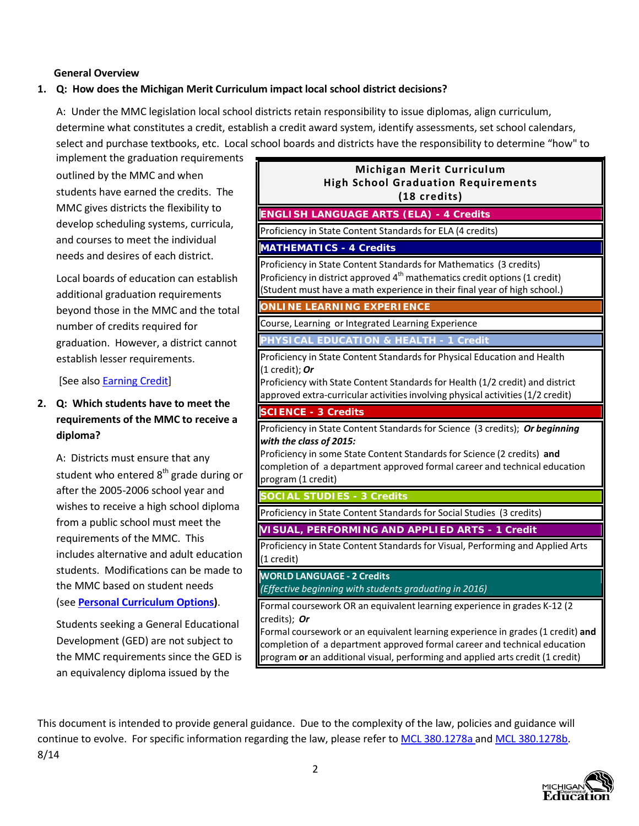## **General Overview**

## <span id="page-2-0"></span>**1. Q: How does the Michigan Merit Curriculum impact local school district decisions?**

A: Under the MMC legislation local school districts retain responsibility to issue diplomas, align curriculum, determine what constitutes a credit, establish a credit award system, identify assessments, set school calendars, select and purchase textbooks, etc. Local school boards and districts have the responsibility to determine "how" to

implement the graduation requirements outlined by the MMC and when students have earned the credits. The MMC gives districts the flexibility to develop scheduling systems, curricula, and courses to meet the individual needs and desires of each district.

Local boards of education can establish additional graduation requirements beyond those in the MMC and the total number of credits required for graduation. However, a district cannot establish lesser requirements.

[See also [Earning](#page-3-0) Credi[t\]](#page-3-0)

# **2. Q: Which students have to meet the requirements of the MMC to receive a diploma?**

A: Districts must ensure that any student who entered 8<sup>th</sup> grade during or after the 2005-2006 school year and wishes to receive a high school diploma from a public school must meet the requirements of the MMC. This includes alternative and adult education students. Modifications can be made to the MMC based on student needs (see **Personal [Curriculum](http://www.michigan.gov/mde/0%2C1607%2C7-140-6530_30334_49879---%2C00.html) Options)**.

Students seeking a General Educational Development (GED) are not subject to the MMC requirements since the GED is an equivalency diploma issued by the

| Michigan Merit Curriculum<br><b>High School Graduation Requirements</b><br>(18 credits)                                                                                                                                                                        |  |
|----------------------------------------------------------------------------------------------------------------------------------------------------------------------------------------------------------------------------------------------------------------|--|
| <b>ENGLISH LANGUAGE ARTS (ELA) - 4 Credits</b>                                                                                                                                                                                                                 |  |
| Proficiency in State Content Standards for ELA (4 credits)                                                                                                                                                                                                     |  |
| <b>MATHEMATICS - 4 Credits</b>                                                                                                                                                                                                                                 |  |
| Proficiency in State Content Standards for Mathematics (3 credits)<br>Proficiency in district approved 4 <sup>th</sup> mathematics credit options (1 credit)<br>(Student must have a math experience in their final year of high school.)                      |  |
| <b>ONLINE LEARNING EXPERIENCE</b>                                                                                                                                                                                                                              |  |
| Course, Learning or Integrated Learning Experience                                                                                                                                                                                                             |  |
| PHYSICAL EDUCATION & HEALTH - 1 Credit                                                                                                                                                                                                                         |  |
| Proficiency in State Content Standards for Physical Education and Health<br>(1 credit); Or<br>Proficiency with State Content Standards for Health (1/2 credit) and district<br>approved extra-curricular activities involving physical activities (1/2 credit) |  |
| <b>SCIENCE - 3 Credits</b>                                                                                                                                                                                                                                     |  |
| Proficiency in State Content Standards for Science (3 credits); Or beginning<br>with the class of 2015:                                                                                                                                                        |  |
| Proficiency in some State Content Standards for Science (2 credits) and<br>completion of a department approved formal career and technical education<br>program (1 credit)                                                                                     |  |
|                                                                                                                                                                                                                                                                |  |
| <b>SOCIAL STUDIES - 3 Credits</b><br>Proficiency in State Content Standards for Social Studies (3 credits)                                                                                                                                                     |  |
| VISUAL, PERFORMING AND APPLIED ARTS - 1 Credit                                                                                                                                                                                                                 |  |
| Proficiency in State Content Standards for Visual, Performing and Applied Arts<br>(1 credit)                                                                                                                                                                   |  |
| <b>WORLD LANGUAGE - 2 Credits</b><br>(Effective beginning with students graduating in 2016)                                                                                                                                                                    |  |

program **or** an additional visual, performing and applied arts credit (1 credit)

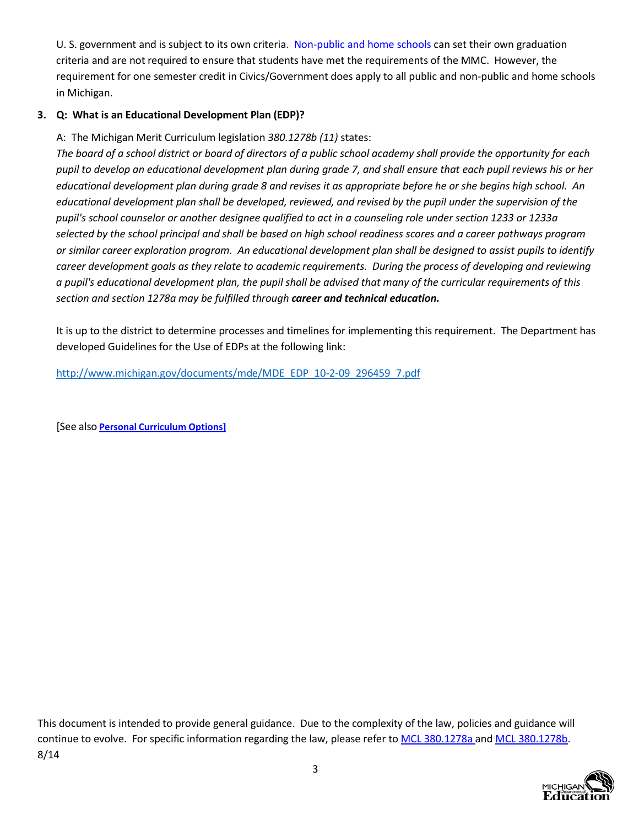<span id="page-3-0"></span>U. S. government and is subject to its own criteria. [Non-public and](http://www.michigan.gov/mde/0%2C4615%2C7-140-6530_6569_35175---%2C00.html) home [schools c](http://www.michigan.gov/mde/0%2C4615%2C7-140-6530_6569_35175---%2C00.html)an set their own graduation criteria and are not required to ensure that students have met the requirements of the MMC. However, the requirement for one semester credit in Civics/Government does apply to all public and non-public and home schools in Michigan.

## **3. Q: What is an Educational Development Plan (EDP)?**

A: The Michigan Merit Curriculum legislation *380.1278b (11)* states:

*The board of a school district or board of directors of a public school academy shall provide the opportunity for each pupil to develop an educational development plan during grade 7, and shall ensure that each pupil reviews his or her educational development plan during grade 8 and revises it as appropriate before he or she begins high school. An educational development plan shall be developed, reviewed, and revised by the pupil under the supervision of the pupil's school counselor or another designee qualified to act in a counseling role under section 1233 or 1233a selected by the school principal and shall be based on high school readiness scores and a career pathways program or similar career exploration program. An educational development plan shall be designed to assist pupils to identify career development goals as they relate to academic requirements. During the process of developing and reviewing a pupil's educational development plan, the pupil shall be advised that many of the curricular requirements of this section and section 1278a may be fulfilled through career and technical education.*

It is up to the district to determine processes and timelines for implementing this requirement. The Department has developed Guidelines for the Use of EDPs at the following link:

[http://www.michigan.gov/documents/mde/MDE\\_EDP\\_10-2-09\\_296459\\_7.pdf](http://www.michigan.gov/documents/mde/MDE_EDP_10-2-09_296459_7.pdf)

[See also **Personal [Curriculum](http://www.michigan.gov/mde/0%2C1607%2C7-140-6530_30334_49879---%2C00.html) Options]**

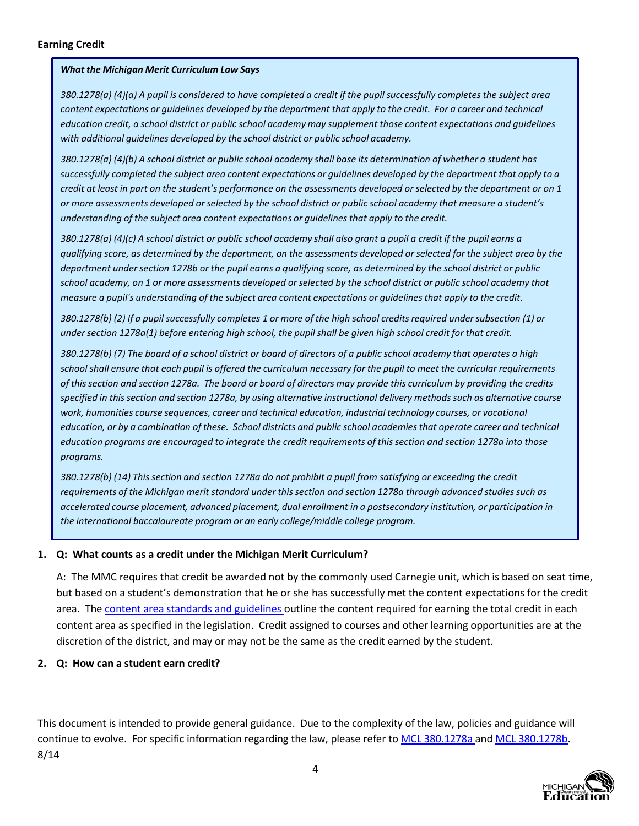<span id="page-4-0"></span>380.1278(a) (4)(a) A pupil is considered to have completed a credit if the pupil successfully completes the subject area content expectations or guidelines developed by the department that apply to the credit. For a career and technical education credit, a school district or public school academy may supplement those content expectations and quidelines *with additional guidelines developed by the school district or public school academy.*

380.1278(a) (4)(b) A school district or public school academy shall base its determination of whether a student has successfully completed the subject area content expectations or guidelines developed by the department that apply to a credit at least in part on the student's performance on the assessments developed or selected by the department or on 1 or more assessments developed or selected by the school district or public school academy that measure a student's *understanding of the subject area content expectations or guidelinesthat apply to the credit.*

380.1278(a) (4)(c) A school district or public school academy shall also grant a pupil a credit if the pupil earns a qualifying score, as determined by the department, on the assessments developed or selected for the subject area by the department under section 1278b or the pupil earns a qualifying score, as determined by the school district or public school academy, on 1 or more assessments developed or selected by the school district or public school academy that *measure a pupil's understanding of the subject area content expectations or guidelinesthat apply to the credit.*

380.1278(b) (2) If a pupil successfully completes 1 or more of the high school credits required under subsection (1) or under section 1278a(1) before entering high school, the pupil shall be given high school credit for that credit.

380.1278(b) (7) The board of a school district or board of directors of a public school academy that operates a high school shall ensure that each pupil is offered the curriculum necessary for the pupil to meet the curricular requirements of this section and section 1278a. The board or board of directors may provide this curriculum by providing the credits specified in this section and section 1278a, by using alternative instructional delivery methods such as alternative course *work, humanities course sequences, career and technical education, industrial technology courses, or vocational* education, or by a combination of these. School districts and public school academies that operate career and technical education programs are encouraged to integrate the credit requirements of this section and section 1278a into those *programs.*

380.1278(b) (14) This section and section 1278a do not prohibit a pupil from satisfying or exceeding the credit *requirements of the Michigan merit standard under thissection and section 1278a through advanced studiessuch as accelerated course placement, advanced placement, dual enrollment in a postsecondary institution, or participation in the international baccalaureate program or an early college/middle college program.*

#### **1. Q: What counts as a credit under the Michigan Merit Curriculum?**

A: The MMC requires that credit be awarded not by the commonly used Carnegie unit, which is based on seat time, but based on a student's demonstration that he or she has successfully met the content expectations for the credit area. The content area [standards and](http://www.michigan.gov/mde/0%2C4615%2C7-140-28753_64839_65510---%2C00.html) guidelines outline the content required for earning the total credit in each content area as specified in the legislation. Credit assigned to courses and other learning opportunities are at the discretion of the district, and may or may not be the same as the credit earned by the student.

#### **2. Q: How can a student earn credit?**

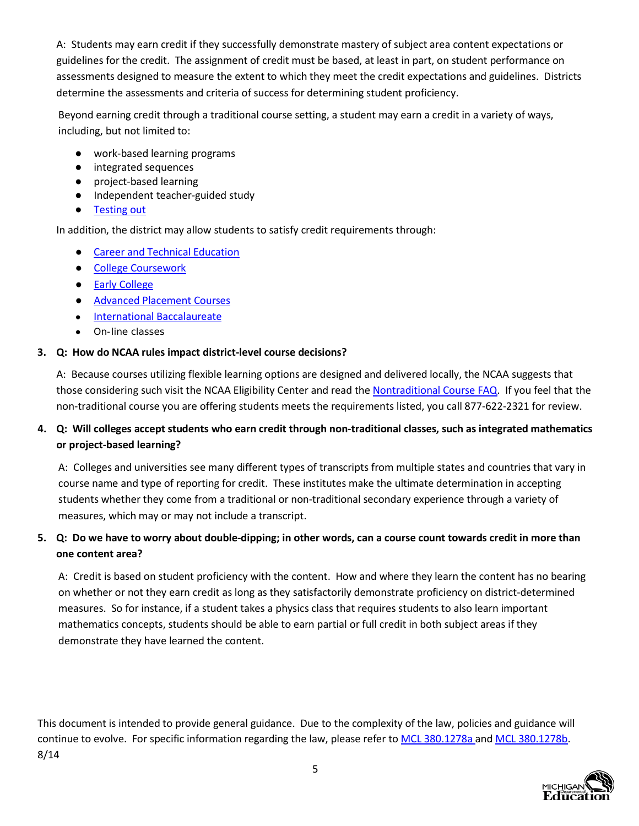A: Students may earn credit if they successfully demonstrate mastery of subject area content expectations or guidelines for the credit. The assignment of credit must be based, at least in part, on student performance on assessments designed to measure the extent to which they meet the credit expectations and guidelines. Districts determine the assessments and criteria of success for determining student proficiency.

Beyond earning credit through a traditional course setting, a student may earn a credit in a variety of ways, including, but not limited to:

- work-based learning programs
- integrated sequences
- project-based learning
- Independent teacher-guided study
- [Testing](http://www.michigan.gov/mde/0%2C1607%2C7-140-6530_30334-194734--%2C00.html) out

In addition, the district may allow students to satisfy credit requirements through:

- [Career and](#page-16-0) Technical Education
- [College](http://www.michigan.gov/mde/0%2C4615%2C7-140-28753_65799_40085---%2C00.html) Coursework
- Early [College](http://www.michigan.gov/mde/0%2C4615%2C7-140-43092_51178---%2C00.html)
- **Advanced [Placement Courses](http://www.michigan.gov/mde/0%2C4615%2C7-140-28753_65799_40022---%2C00.html)**
- International [Baccalaureate](http://www.michigan.gov/mde/0%2C4615%2C7-140-28753_65799_48781---%2C00.html)
- On-line classes

## **3. Q: How do NCAA rules impact district-level course decisions?**

A: Because courses utilizing flexible learning options are designed and delivered locally, the NCAA suggests that those considering such visit the NCAA Eligibility Center and read the [Nontraditional](http://fs.ncaa.org/Docs/eligibility_center/OVN/Nontraditional_Course_FAQ/engage.html) Course FAQ. If you feel that the non-traditional course you are offering students meets the requirements listed, you call 877-622-2321 for review.

# 4. Q: Will colleges accept students who earn credit through non-traditional classes, such as integrated mathematics **or project-based learning?**

A: Colleges and universities see many different types of transcripts from multiple states and countries that vary in course name and type of reporting for credit. These institutes make the ultimate determination in accepting students whether they come from a traditional or non-traditional secondary experience through a variety of measures, which may or may not include a transcript.

# 5. Q: Do we have to worry about double-dipping; in other words, can a course count towards credit in more than **one content area?**

A: Credit is based on student proficiency with the content. How and where they learn the content has no bearing on whether or not they earn credit as long as they satisfactorily demonstrate proficiency on district-determined measures. So for instance, if a student takes a physics class that requires students to also learn important mathematics concepts, students should be able to earn partial or full credit in both subject areas if they demonstrate they have learned the content.

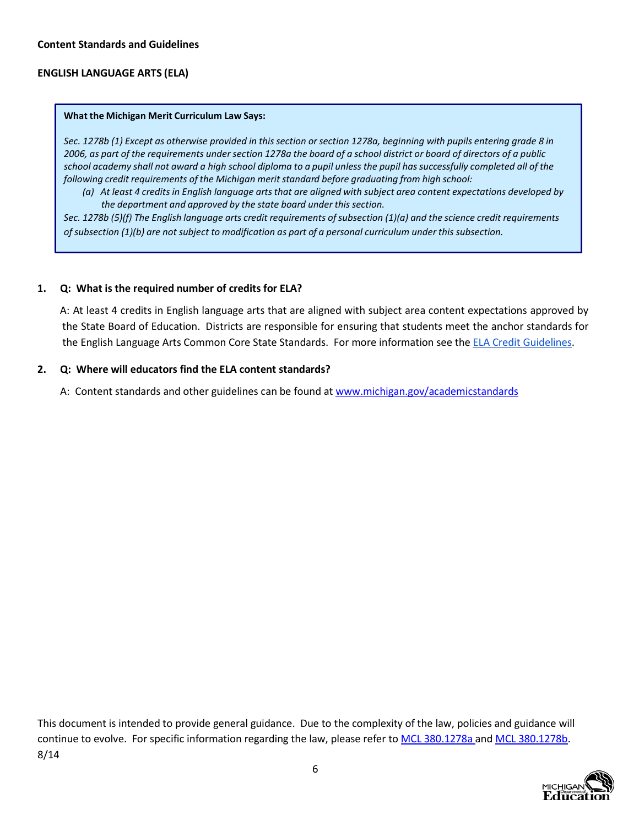## <span id="page-6-0"></span>**Content Standards and Guidelines**

## **ENGLISH LANGUAGE ARTS (ELA)**

#### **What the Michigan Merit Curriculum Law Says:**

Sec. 1278b (1) Except as otherwise provided in this section or section 1278a, beginning with pupils entering grade 8 in 2006, as part of the requirements under section 1278a the board of a school district or board of directors of a public school academy shall not award a high school diploma to a pupil unless the pupil has successfully completed all of the *following credit requirements of the Michigan merit standard before graduating from high school:*

(a) At least 4 credits in English language arts that are aligned with subject area content expectations developed by *the department and approved by the state board under this section.*

Sec. 1278b (5)(f) The English language arts credit requirements of subsection (1)(a) and the science credit requirements *ofsubsection (1)(b) are not subject to modification as part of a personal curriculum under this subsection.*

#### **1. Q: What is the required number of credits for ELA?**

A: At least 4 credits in English language arts that are aligned with subject area content expectations approved by the State Board of Education. Districts are responsible for ensuring that students meet the anchor standards for the English Language Arts Common Core State Standards. For more information see the ELA [Credit Guidelines.](http://www.michigan.gov/documents/mde/ELA_CourseCredit_446177_7_458189_7.pdf?20140825092253)

## **2. Q: Where will educators find the ELA content standards?**

A: Content standards and other guidelines can be found at [www.michigan.gov/academicstandards](http://www.michigan.gov/academicstandards)

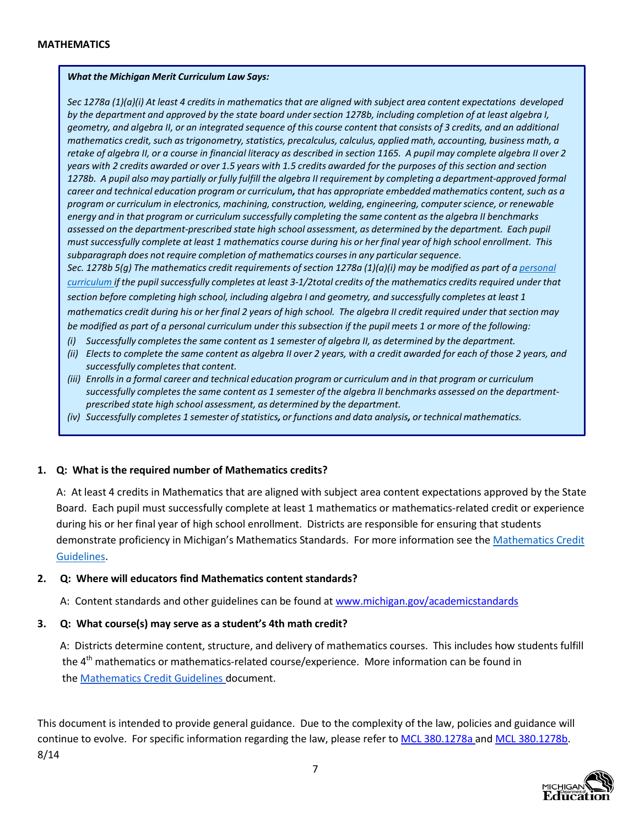<span id="page-7-0"></span>Sec 1278a (1)(a)(i) At least 4 credits in mathematics that are aligned with subject area content expectations developed by the department and approved by the state board under section 1278b, including completion of at least algebra I, geometry, and algebra II, or an integrated sequence of this course content that consists of 3 credits, and an additional *mathematics credit, such astrigonometry, statistics, precalculus, calculus, applied math, accounting, business math, a* retake of algebra II, or a course in financial literacy as described in section 1165. A pupil may complete algebra II over 2 years with 2 credits awarded or over 1.5 years with 1.5 credits awarded for the purposes of this section and section 1278b. A pupil also may partially or fully fulfill the algebra II requirement by completing a department-approved formal career and technical education program or curriculum, that has appropriate embedded mathematics content, such as a *program or curriculum in electronics, machining, construction, welding, engineering, computerscience, or renewable energy and in that program or curriculum successfully completing the same content asthe algebra II benchmarks assessed on the department-prescribed state high school assessment, as determined by the department. Each pupil* must successfully complete at least 1 mathematics course during his or her final year of high school enrollment. This *subparagraph does not require completion of mathematics coursesin any particularsequence.*

Sec. 1278b 5(g) The mathematics credit requirements of section 1278a (1)(a)(i) may be modified as part of a [personal](http://www.michigan.gov/mde/0%2C1607%2C7-140-6530_30334_49879---%2C00.html) [curriculum](http://www.michigan.gov/mde/0%2C1607%2C7-140-6530_30334_49879---%2C00.html) if the pupil successfully completes at least 3-1/2total credits of the mathematics credits required under that *section before completing high school, including algebra I and geometry, and successfully completes at least 1* mathematics credit during his or her final 2 years of high school. The algebra II credit required under that section may be modified as part of a personal curriculum under this subsection if the pupil meets 1 or more of the following:

- *(i) Successfully completesthe same content as 1 semester of algebra II, as determined by the department.*
- (ii) Elects to complete the same content as algebra II over 2 years, with a credit awarded for each of those 2 years, and *successfully completesthat content.*
- (iii) Enrolls in a formal career and technical education program or curriculum and in that program or curriculum *successfully completesthe same content as 1 semester of the algebra II benchmarks assessed on the departmentprescribed state high school assessment, as determined by the department.*
- *(iv) Successfully completes 1 semester ofstatistics, or functions and data analysis, or technical mathematics.*

#### **1. Q: What is the required number of Mathematics credits?**

A: At least 4 credits in Mathematics that are aligned with subject area content expectations approved by the State Board. Each pupil must successfully complete at least 1 mathematics or mathematics-related credit or experience during his or her final year of high school enrollment. Districts are responsible for ensuring that students demonstrate proficiency in Michigan's Mathematics Standards. For more information see the [Mathematics](http://www.michigan.gov/documents/mde/Math_CourseCredit_446175_7_458195_7.pdf?20140825092253) Credit [Guidelines.](http://www.michigan.gov/documents/mde/Math_CourseCredit_446175_7_458195_7.pdf?20140825092253)

## **2. Q: Where will educators find Mathematics content standards?**

A: Content standards and other guidelines can be found at [www.michigan.gov/academicstandards](http://www.michigan.gov/academicstandards)

#### **3. Q: What course(s) may serve as a student's 4th math credit?**

A: Districts determine content, structure, and delivery of mathematics courses. This includes how students fulfill the 4<sup>th</sup> mathematics or mathematics-related course/experience. More information can be found in the [Mathematics Credit](http://mi.gov/documents/mde/Math_CourseCredit_446175_7_458195_7.pdf?20140728134710) Guidelines document.

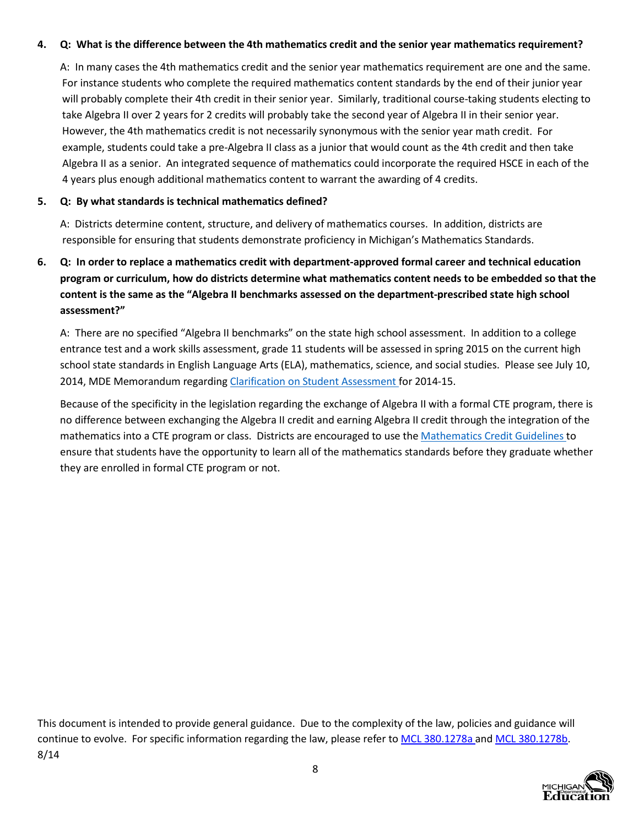## **4. Q: What is the difference between the 4th mathematics credit and the senior year mathematics requirement?**

A: In many cases the 4th mathematics credit and the senior year mathematics requirement are one and the same. For instance students who complete the required mathematics content standards by the end of their junior year will probably complete their 4th credit in their senior year. Similarly, traditional course-taking students electing to take Algebra II over 2 years for 2 credits will probably take the second year of Algebra II in their senior year. However, the 4th mathematics credit is not necessarily synonymous with the senior year math credit. For example, students could take a pre-Algebra II class as a junior that would count as the 4th credit and then take Algebra II as a senior. An integrated sequence of mathematics could incorporate the required HSCE in each of the 4 years plus enough additional mathematics content to warrant the awarding of 4 credits.

## **5. Q: By what standards is technical mathematics defined?**

A: Districts determine content, structure, and delivery of mathematics courses. In addition, districts are responsible for ensuring that students demonstrate proficiency in Michigan's Mathematics Standards.

# **6. Q: In order to replace a mathematics credit with department-approved formal career and technical education program or curriculum, how do districts determine what mathematics content needs to be embedded so that the content is the same as the "Algebra II benchmarks assessed on the department-prescribed state high school assessment?"**

A: There are no specified "Algebra II benchmarks" on the state high school assessment. In addition to a college entrance test and a work skills assessment, grade 11 students will be assessed in spring 2015 on the current high school state standards in English Language Arts (ELA), mathematics, science, and social studies. Please see July 10, 2014, MDE Memorandum regarding Clarification on [Student Assessment](http://www.michigan.gov/documents/mde/Clarification_on_Student_Assessment_462341_7.pdf) for 2014-15.

Because of the specificity in the legislation regarding the exchange of Algebra II with a formal CTE program, there is no difference between exchanging the Algebra II credit and earning Algebra II credit through the integration of the mathematics into a CTE program or class. Districts are encouraged to use the [Mathematics Credit](http://www.michigan.gov/documents/mde/Math_CourseCredit_446175_7_458195_7.pdf?20140825092253) Guidelines to ensure that students have the opportunity to learn all of the mathematics standards before they graduate whether they are enrolled in formal CTE program or not.

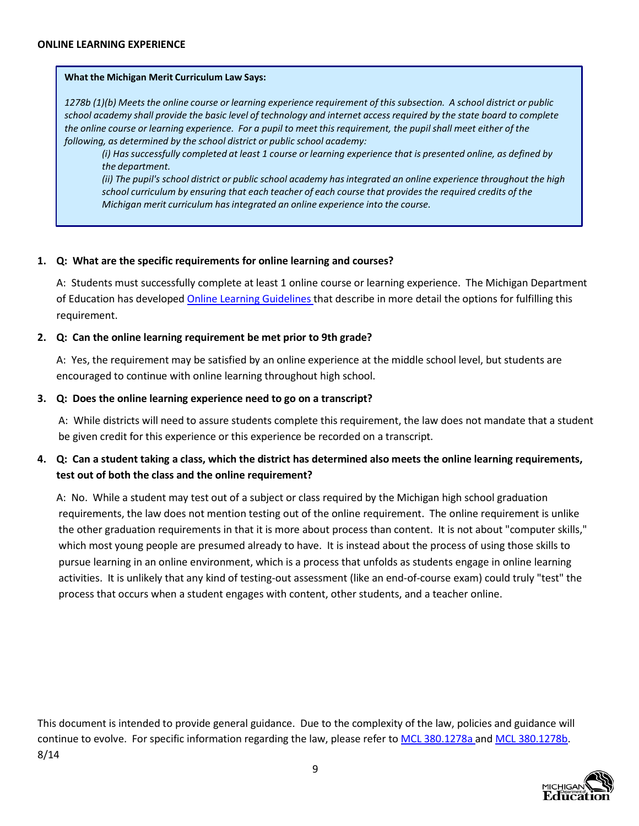<span id="page-9-0"></span>1278b (1)(b) Meets the online course or learning experience requirement of this subsection. A school district or public school academy shall provide the basic level of technology and internet access required by the state board to complete the online course or learning experience. For a pupil to meet this requirement, the pupil shall meet either of the *following, as determined by the school district or public school academy:*

(i) Has successfully completed at least 1 course or learning experience that is presented online, as defined by *the department.*

*(ii) The pupil's school district or public school academy hasintegrated an online experience throughout the high school curriculum by ensuring that each teacher of each course that providesthe required credits of the Michigan merit curriculum hasintegrated an online experience into the course.*

## **1. Q: What are the specific requirements for online learning and courses?**

A: Students must successfully complete at least 1 online course or learning experience. The Michigan Department of Education has developed [Online Learning](http://www.michigan.gov/documents/mde/OE_Companion_Doc_12-06_184084_7.pdf) Guidelines that describe in more detail the options for fulfilling this requirement.

## **2. Q: Can the online learning requirement be met prior to 9th grade?**

A: Yes, the requirement may be satisfied by an online experience at the middle school level, but students are encouraged to continue with online learning throughout high school.

## **3. Q: Does the online learning experience need to go on a transcript?**

A: While districts will need to assure students complete this requirement, the law does not mandate that a student be given credit for this experience or this experience be recorded on a transcript.

## 4. Q: Can a student taking a class, which the district has determined also meets the online learning requirements, **test out of both the class and the online requirement?**

A: No. While a student may test out of a subject or class required by the Michigan high school graduation requirements, the law does not mention testing out of the online requirement. The online requirement is unlike the other graduation requirements in that it is more about process than content. It is not about "computer skills," which most young people are presumed already to have. It is instead about the process of using those skills to pursue learning in an online environment, which is a process that unfolds as students engage in online learning activities. It is unlikely that any kind of testing-out assessment (like an end-of-course exam) could truly "test" the process that occurs when a student engages with content, other students, and a teacher online.

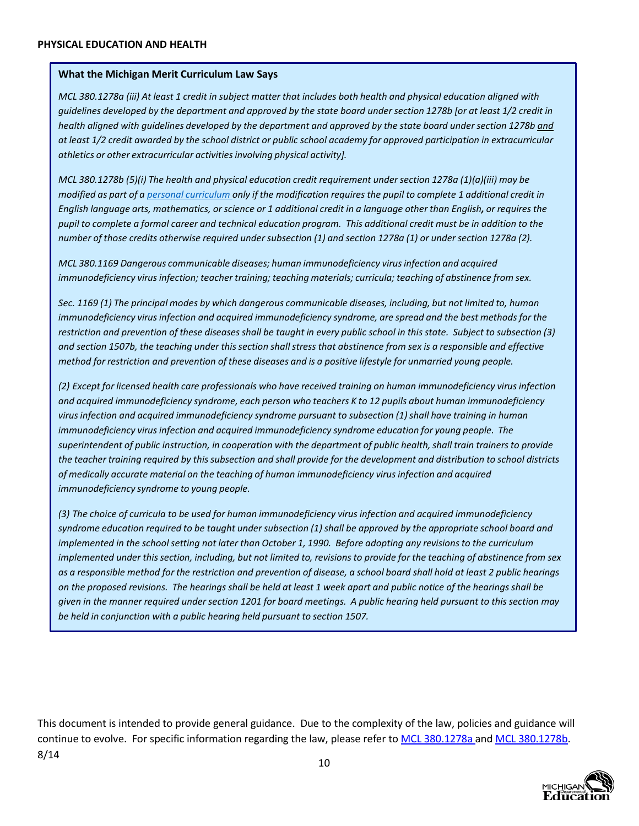<span id="page-10-0"></span>MCL 380.1278a (iii) At least 1 credit in subject matter that includes both health and physical education aligned with quidelines developed by the department and approved by the state board under section 1278b [or at least 1/2 credit in health aligned with guidelines developed by the department and approved by the state board under section 1278b and at least 1/2 credit awarded by the school district or public school academy for approved participation in extracurricular *athletics or other extracurricular activitiesinvolving physical activity].*

*MCL 380.1278b (5)(i) The health and physical education credit requirement undersection 1278a (1)(a)(iii) may be* modified as part of a personal [curriculum](http://www.michigan.gov/mde/0%2C1607%2C7-140-6530_30334_49879---%2C00.html) only if the modification requires the pupil to complete 1 additional credit in English language arts, mathematics, or science or 1 additional credit in a language other than English, or requires the pupil to complete a formal career and technical education program. This additional credit must be in addition to the number of those credits otherwise required under subsection (1) and section 1278a (1) or under section 1278a (2).

*MCL 380.1169 Dangerous communicable diseases; human immunodeficiency virusinfection and acquired immunodeficiency virusinfection; teacher training; teaching materials; curricula; teaching of abstinence from sex.*

Sec. 1169 (1) The principal modes by which dangerous communicable diseases, including, but not limited to, human *immunodeficiency virusinfection and acquired immunodeficiency syndrome, are spread and the best methodsfor the* restriction and prevention of these diseases shall be taught in every public school in this state. Subject to subsection (3) and section 1507b, the teaching under this section shall stress that abstinence from sex is a responsible and effective method for restriction and prevention of these diseases and is a positive lifestyle for unmarried young people.

*(2) Except for licensed health care professionals who have received training on human immunodeficiency virusinfection and acquired immunodeficiency syndrome, each person who teachers K to 12 pupils about human immunodeficiency virusinfection and acquired immunodeficiency syndrome pursuant to subsection (1)shall have training in human immunodeficiency virusinfection and acquired immunodeficiency syndrome education for young people. The* superintendent of public instruction, in cooperation with the department of public health, shall train trainers to provide the teacher training required by this subsection and shall provide for the development and distribution to school districts *of medically accurate material on the teaching of human immunodeficiency virusinfection and acquired immunodeficiency syndrome to young people.*

*(3) The choice of curricula to be used for human immunodeficiency virus infection and acquired immunodeficiency* syndrome education required to be taught under subsection (1) shall be approved by the appropriate school board and *implemented in the schoolsetting not later than October 1, 1990. Before adopting any revisionsto the curriculum* implemented under this section, including, but not limited to, revisions to provide for the teaching of abstinence from sex as a responsible method for the restriction and prevention of disease, a school board shall hold at least 2 public hearings on the proposed revisions. The hearings shall be held at least 1 week apart and public notice of the hearings shall be given in the manner required under section 1201 for board meetings. A public hearing held pursuant to this section may *be held in conjunction with a public hearing held pursuant to section 1507.*

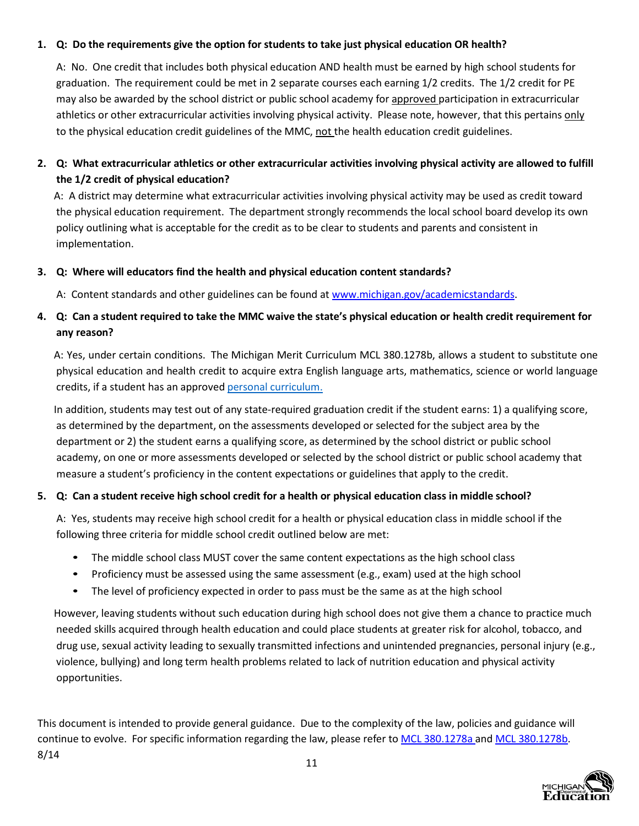## **1. Q: Do the requirements give the option for students to take just physical education OR health?**

A: No. One credit that includes both physical education AND health must be earned by high school students for graduation. The requirement could be met in 2 separate courses each earning 1/2 credits. The 1/2 credit for PE may also be awarded by the school district or public school academy for approved participation in extracurricular athletics or other extracurricular activities involving physical activity. Please note, however, that this pertains only to the physical education credit guidelines of the MMC, not the health education credit guidelines.

## **2. Q: What extracurricular athletics or other extracurricular activities involving physical activity are allowed to fulfill the 1/2 credit of physical education?**

A: A district may determine what extracurricular activities involving physical activity may be used as credit toward the physical education requirement. The department strongly recommends the local school board develop its own policy outlining what is acceptable for the credit as to be clear to students and parents and consistent in implementation.

## **3. Q: Where will educators find the health and physical education content standards?**

A: Content standards and other guidelines can be found at [www.michigan.gov/academicstandards.](http://www.michigan.gov/academicstandards)

## 4. Q: Can a student required to take the MMC waive the state's physical education or health credit requirement for **any reason?**

A: Yes, under certain conditions. The Michigan Merit Curriculum MCL 380.1278b, allows a student to substitute one physical education and health credit to acquire extra English language arts, mathematics, science or world language credits, if a student has an approved personal [curriculum.](http://www.michigan.gov/mde/0%2C1607%2C7-140-6530_30334_49879---%2C00.html)

In addition, students may test out of any state-required graduation credit if the student earns: 1) a qualifying score, as determined by the department, on the assessments developed or selected for the subject area by the department or 2) the student earns a qualifying score, as determined by the school district or public school academy, on one or more assessments developed or selected by the school district or public school academy that measure a student's proficiency in the content expectations or guidelines that apply to the credit.

## **5. Q: Can a student receive high school credit for a health or physical education class in middle school?**

A: Yes, students may receive high school credit for a health or physical education class in middle school if the following three criteria for middle school credit outlined below are met:

- The middle school class MUST cover the same content expectations as the high school class
- Proficiency must be assessed using the same assessment (e.g., exam) used at the high school
- The level of proficiency expected in order to pass must be the same as at the high school

However, leaving students without such education during high school does not give them a chance to practice much needed skills acquired through health education and could place students at greater risk for alcohol, tobacco, and drug use, sexual activity leading to sexually transmitted infections and unintended pregnancies, personal injury (e.g., violence, bullying) and long term health problems related to lack of nutrition education and physical activity opportunities.

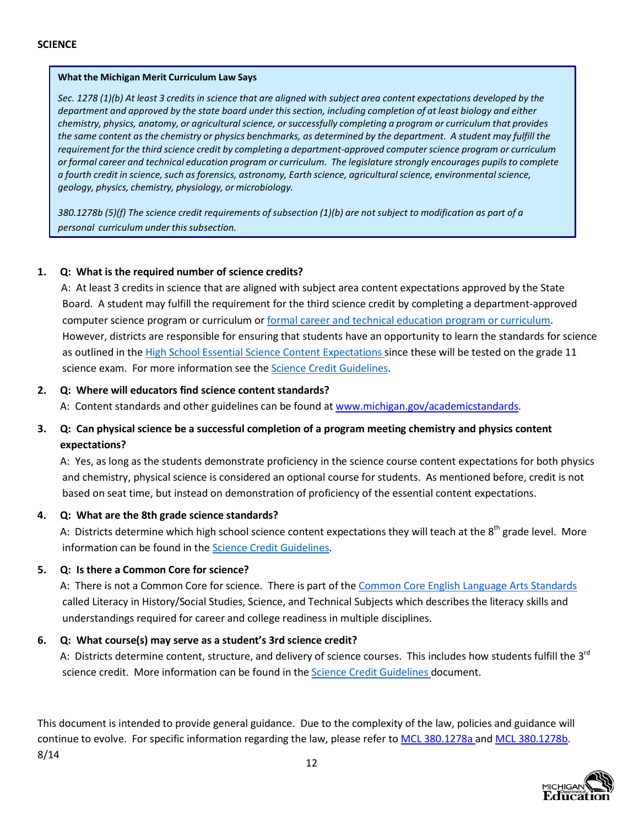<span id="page-12-0"></span>Sec. 1278 (1)(b) At least 3 credits in science that are aligned with subject area content expectations developed by the department and approved by the state board under this section, including completion of at least biology and either *chemistry, physics, anatomy, or agriculturalscience, orsuccessfully completing a program or curriculum that provides*  the same content as the chemistry or physics benchmarks, as determined by the department. A student may fulfill the *requirement for the third science credit by completing a department-approved computerscience program or curriculum or formal career and technical education program or curriculum. The legislature strongly encourages pupilsto complete a fourth credit in science,such asforensics, astronomy, Earth science, agriculturalscience, environmentalscience, geology, physics, chemistry, physiology, or microbiology.*

380.1278b (5)(f) The science credit requirements of subsection (1)(b) are not subject to modification as part of a *personal curriculum under thissubsection.*

## **1. Q: What is the required number of science credits?**

A: At least 3 credits in science that are aligned with subject area content expectations approved by the State Board. A student may fulfill the requirement for the third science credit by completing a department-approved computer science program or curriculum or formal career and technical [education program or](#page-16-0) curriculum. However, districts are responsible for ensuring that students have an opportunity to learn the standards for science as outlined in the High School [Essential Science Content Expectations](http://www.michigan.gov/documents/mde/Essential_Science_204486_7.pdf?20140819085126) since these will be tested on the grade 11 science exam. For more information see the [Science Credit](http://www.michigan.gov/documents/mde/Science_CourseCredit_466083_7.pdf?20140825092253) Guidelines.

## **2. Q: Where will educators find science content standards?**

A: Content standards and other guidelines can be found at [www.michigan.gov/academicstandards.](http://www.michigan.gov/academicstandards)

## **3. Q: Can physical science be a successful completion of a program meeting chemistry and physics content expectations?**

A: Yes, as long as the students demonstrate proficiency in the science course content expectations for both physics and chemistry, physical science is considered an optional course for students. As mentioned before, credit is not based on seat time, but instead on demonstration of proficiency of the essential content expectations.

## **4. Q: What are the 8th grade science standards?**

A: Districts determine which high school science content expectations they will teach at the  $8<sup>th</sup>$  grade level. More information can be found in the [Science Credit Guidelines.](http://www.michigan.gov/documents/mde/Science_CourseCredit_466083_7.pdf?20140825092253)

## **5. Q: Is there a Common Core for science?**

A: There is not a Common Core for science. There is part of the Common Core English [Language Arts Standards](http://www.corestandards.org/assets/CCSSI_ELA%20Standards.pdf) called Literacy in History/Social Studies, Science, and Technical Subjects which describes the literacy skills and understandings required for career and college readiness in multiple disciplines.

## **6. Q: What course(s) may serve as a student's 3rd science credit?**

A: Districts determine content, structure, and delivery of science courses. This includes how students fulfill the 3<sup>rd</sup> science credit. More information can be found in the Science Credit [Guidelines](http://www.michigan.gov/documents/mde/Science_CourseCredit_466083_7.pdf?20140825092253) document.

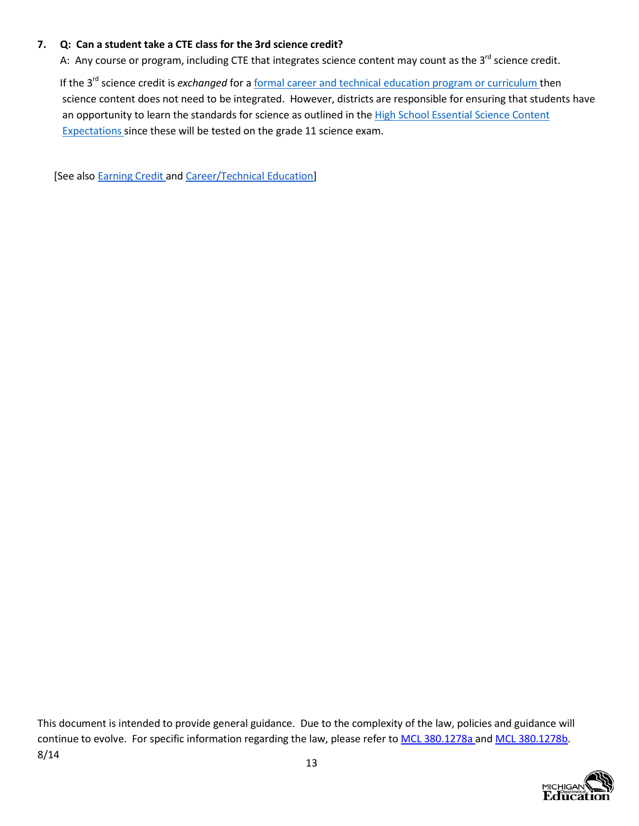## **7. Q: Can a student take a CTE class for the 3rd science credit?**

A: Any course or program, including CTE that integrates science content may count as the  $3^{rd}$  science credit.

If the 3rd science credit is *exchanged* for a [formal career and](#page-16-0) technical education program or curriculum then science content does not need to be integrated. However, districts are responsible for ensuring that students have an opportunity to learn the standards for science as outlined in the High School [Essential Science Content](http://www.michigan.gov/documents/mde/Essential_Science_204486_7.pdf?20140819085126) [Expectations](http://www.michigan.gov/documents/mde/Essential_Science_204486_7.pdf?20140819085126) since these will be tested on the grade 11 science exam.

[See also Earning Credit and Career/Technical Education]

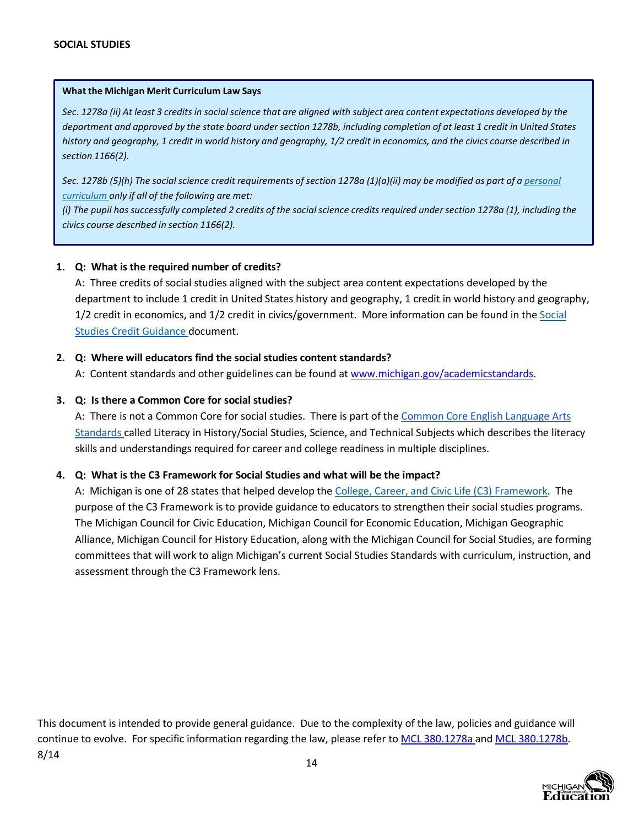<span id="page-14-0"></span>Sec. 1278a (ii) At least 3 credits in social science that are aligned with subject area content expectations developed by the department and approved by the state board under section 1278b, including completion of at least 1 credit in United States history and geography, 1 credit in world history and geography, 1/2 credit in economics, and the civics course described in *section 1166(2).*

Sec. 1278b (5)(h) The social science credit requirements of section 1278a (1)(a)(ii) may be modified as part of a [personal](http://www.michigan.gov/mde/0%2C1607%2C7-140-6530_30334_49879---%2C00.html) *[curriculum](http://www.michigan.gov/mde/0%2C1607%2C7-140-6530_30334_49879---%2C00.html) only if all of the following are met:*

(i) The pupil has successfully completed 2 credits of the social science credits required under section 1278a (1), including the *civics course described in section 1166(2).*

## **1. Q: What is the required number of credits?**

A: Three credits of social studies aligned with the subject area content expectations developed by the department to include 1 credit in United States history and geography, 1 credit in world history and geography, 1/2 credit in economics, and 1/2 credit in civics/government. More information can be found in the [Social](http://www.michigan.gov/documents/mde/SSModel_CourseCredit_466084_7.pdf?20140825092253) [Studies Credit](http://www.michigan.gov/documents/mde/SSModel_CourseCredit_466084_7.pdf?20140825092253) Guidance document.

## **2. Q: Where will educators find the social studies content standards?**

A: Content standards and other guidelines can be found at [www.michigan.gov/academicstandards.](http://www.michigan.gov/academicstandards)

## **3. Q: Is there a Common Core for social studies?**

A: There is not a Common Core for social studies. There is part of the Common Core English [Language](http://www.corestandards.org/assets/CCSSI_ELA%20Standards.pdf) Arts [Standards c](http://www.corestandards.org/assets/CCSSI_ELA%20Standards.pdf)alled Literacy in History/Social Studies, Science, and Technical Subjects which describes the literacy skills and understandings required for career and college readiness in multiple disciplines.

## **4. Q: What is the C3 Framework for Social Studies and what will be the impact?**

A: Michigan is one of 28 states that helped develop the [College, Career,](http://www.socialstudies.org/c3) and Civic Life (C3) Framework. The purpose of the C3 Framework is to provide guidance to educators to strengthen their social studies programs. The Michigan Council for Civic Education, Michigan Council for Economic Education, Michigan Geographic Alliance, Michigan Council for History Education, along with the Michigan Council for Social Studies, are forming committees that will work to align Michigan's current Social Studies Standards with curriculum, instruction, and assessment through the C3 Framework lens.

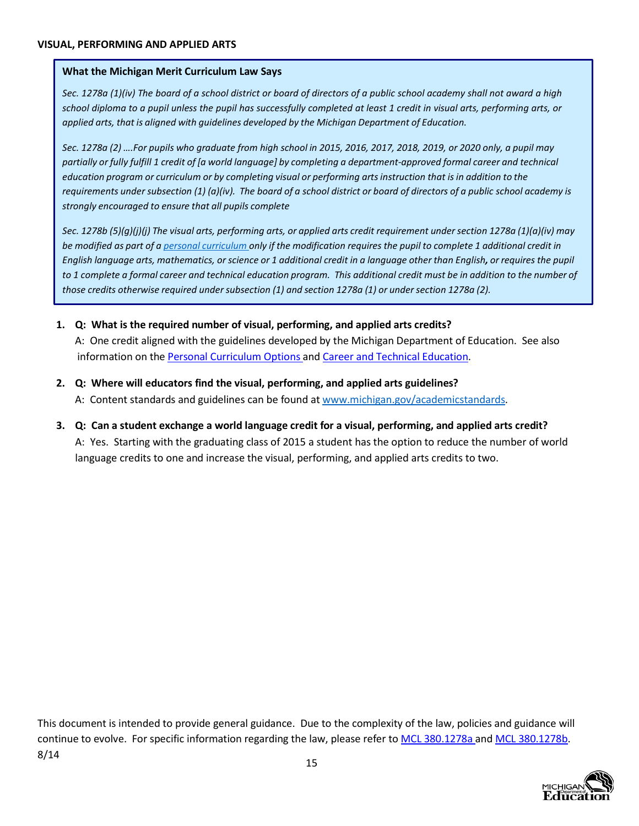<span id="page-15-0"></span>Sec. 1278a (1)(iv) The board of a school district or board of directors of a public school academy shall not award a high school diploma to a pupil unless the pupil has successfully completed at least 1 credit in visual arts, performing arts, or *applied arts, that is aligned with guidelines developed by the Michigan Department of Education.*

Sec. 1278a (2) .... For pupils who graduate from high school in 2015, 2016, 2017, 2018, 2019, or 2020 only, a pupil may partially or fully fulfill 1 credit of [a world language] by completing a department-approved formal career and technical education program or curriculum or by completing visual or performing arts instruction that is in addition to the requirements under subsection  $(1)$  (a)(iv). The board of a school district or board of directors of a public school academy is *strongly encouraged to ensure that all pupils complete*

Sec. 1278b (5)(g)(j)(j) The visual arts, performing arts, or applied arts credit requirement under section 1278a (1)(a)(iv) may be modified as part of a personal [curriculum](http://www.michigan.gov/mde/0%2C1607%2C7-140-6530_30334_49879---%2C00.html) only if the modification requires the pupil to complete 1 additional credit in English language arts, mathematics, or science or 1 additional credit in a language other than English, or requires the pupil to 1 complete a formal career and technical education program. This additional credit must be in addition to the number of *those credits otherwise required undersubsection (1) and section 1278a (1) or undersection 1278a (2).*

- **1. Q: What is the required number of visual, performing, and applied arts credits?** A: One credit aligned with the guidelines developed by the Michigan Department of Education. See also information on the Personal [Curriculum](http://www.michigan.gov/mde/0%2C1607%2C7-140-6530_30334_49879---%2C00.html) Options and [Career and](#page-16-0) Technical Educatio[n.](#page-16-0)
- **2. Q: Where will educators find the visual, performing, and applied arts guidelines?** A: Content standards and guidelines can be found at [www.michigan.gov/academicstandards.](http://www.michigan.gov/academicstandards)
- **3. Q: Can a student exchange a world language credit for a visual, performing, and applied arts credit?** A: Yes. Starting with the graduating class of 2015 a student has the option to reduce the number of world language credits to one and increase the visual, performing, and applied arts credits to two.

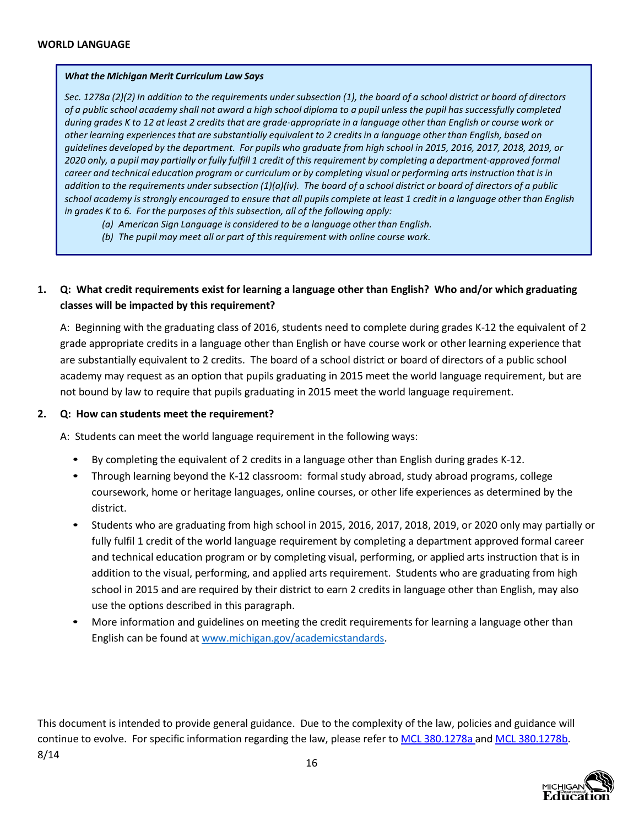<span id="page-16-0"></span>Sec. 1278a (2)(2) In addition to the requirements under subsection (1), the board of a school district or board of directors of a public school academy shall not award a high school diploma to a pupil unless the pupil has successfully completed during grades K to 12 at least 2 credits that are grade-appropriate in a language other than English or course work or other learning experiences that are substantially equivalent to 2 credits in a language other than English, based on quidelines developed by the department. For pupils who graduate from high school in 2015, 2016, 2017, 2018, 2019, or 2020 only, a pupil may partially or fully fulfill 1 credit of this requirement by completing a department-approved formal career and technical education program or curriculum or by completing visual or performing arts instruction that is in addition to the requirements under subsection  $(1)(a)(iv)$ . The board of a school district or board of directors of a public school academy is strongly encouraged to ensure that all pupils complete at least 1 credit in a language other than English *in grades K to 6. For the purposes of this subsection, all of the following apply:*

*(a) American Sign Language is considered to be a language other than English.*

*(b) The pupil may meet all or part of this requirement with online course work.*

## **1. Q: What credit requirements exist for learning a language other than English? Who and/or which graduating classes will be impacted by this requirement?**

A: Beginning with the graduating class of 2016, students need to complete during grades K-12 the equivalent of 2 grade appropriate credits in a language other than English or have course work or other learning experience that are substantially equivalent to 2 credits. The board of a school district or board of directors of a public school academy may request as an option that pupils graduating in 2015 meet the world language requirement, but are not bound by law to require that pupils graduating in 2015 meet the world language requirement.

### **2. Q: How can students meet the requirement?**

A: Students can meet the world language requirement in the following ways:

- By completing the equivalent of 2 credits in a language other than English during grades K-12.
- Through learning beyond the K-12 classroom: formalstudy abroad, study abroad programs, college coursework, home or heritage languages, online courses, or other life experiences as determined by the district.
- Students who are graduating from high school in 2015, 2016, 2017, 2018, 2019, or 2020 only may partially or fully fulfil 1 credit of the world language requirement by completing a department approved [formal career](#page-16-0) and technical [education](#page-16-0) program or by completing visual, performing, or applied arts instruction that is in addition to the visual, performing, and applied arts [requirement.](#page-14-0) Students who are graduating from high school in 2015 and are required by their district to earn 2 credits in language other than English, may also use the options described in this paragraph.
- More information and guidelines on meeting the credit requirements for learning a language other than English can be found at [www.michigan.gov/academicstandards.](http://www.michigan.gov/academicstandards)

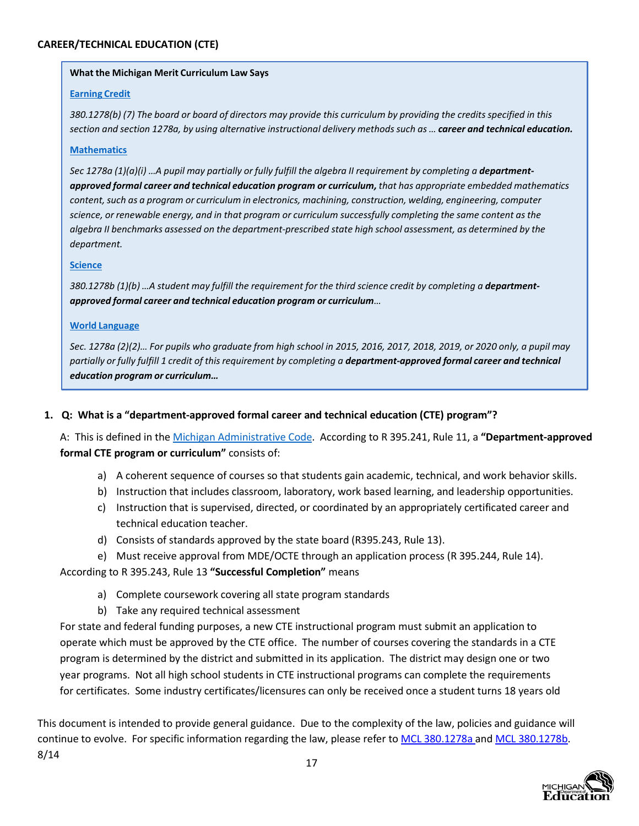#### <span id="page-17-0"></span>**Earning Credit**

380.1278(b) (7) The board or board of directors may provide this curriculum by providing the credits specified in this section and section 1278a, by using alternative instructional delivery methods such as ... career and technical education.

#### **Mathematics**

Sec 1278a (1)(a)(i) ...A pupil may partially or fully fulfill the algebra II requirement by completing a department*approved formal career and technical education program or curriculum, that has appropriate embedded mathematics content,such as a program or curriculum in electronics, machining, construction, welding, engineering, computer science, or renewable energy, and in that program or curriculum successfully completing the same content asthe algebra II benchmarks assessed on the department-prescribed state high school assessment, as determined by the department.*

#### **Science**

380.1278b (1)(b) ... A student may fulfill the requirement for the third science credit by completing a department*approved formal career and technical education program or curriculum…*

#### **World Language**

Sec. 1278a (2)(2)... For pupils who graduate from high school in 2015, 2016, 2017, 2018, 2019, or 2020 only, a pupil may partially or fully fulfill 1 credit of this requirement by completing a department-approved formal career and technical *education program or curriculum…*

### **1. Q: What is a "department-approved formal career and technical education (CTE) program"?**

A: This is defined in the [Michigan Administrative](http://www7.dleg.state.mi.us/orr/Files/AdminCode/603_10574_AdminCode.pdf) Code. According to R 395.241, Rule 11, a **"Department-approved formal CTE program or curriculum"** consists of:

- a) A coherent sequence of courses so that students gain academic, technical, and work behavior skills.
- b) Instruction that includes classroom, laboratory, work based learning, and leadership opportunities.
- c) Instruction that is supervised, directed, or coordinated by an appropriately certificated career and technical education teacher.
- d) Consists of standards approved by the state board (R395.243, Rule 13).
- e) Must receive approval from MDE/OCTE through an application process (R 395.244, Rule 14).

According to R 395.243, Rule 13 **"Successful Completion"** means

- a) Complete coursework covering all state program standards
- b) Take any required technical assessment

For state and federal funding purposes, a new CTE instructional program must submit an application to operate which must be approved by the CTE office. The number of courses covering the standards in a CTE program is determined by the district and submitted in its application. The district may design one or two year programs. Not all high school students in CTE instructional programs can complete the requirements for certificates. Some industry certificates/licensures can only be received once a student turns 18 years old

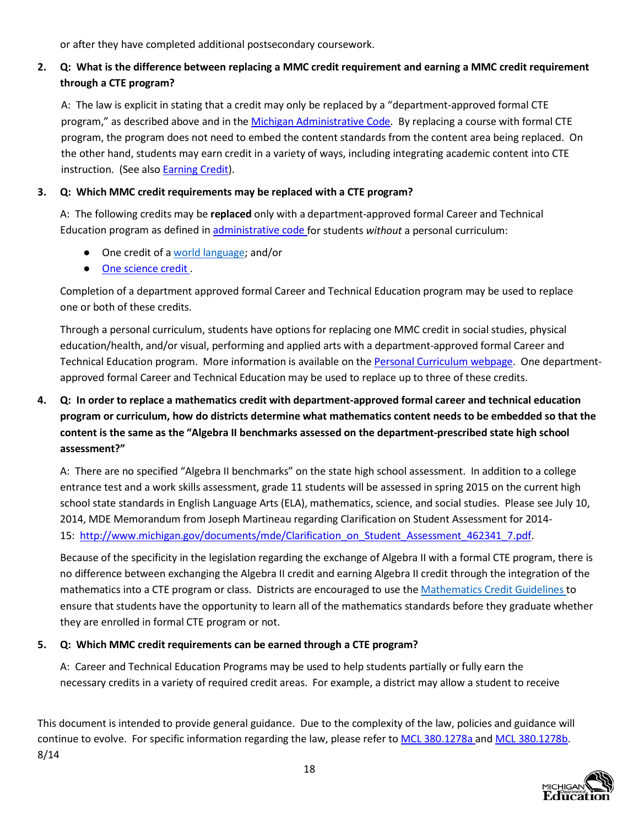or after they have completed additional postsecondary coursework.

# **2. Q: What is the difference between replacing a MMC credit requirement and earning a MMC credit requirement through a CTE program?**

A: The law is explicit in stating that a credit may only be replaced by a "department-approved formal CTE program," as described above and in the [Michigan Administrative](http://www7.dleg.state.mi.us/orr/Files/AdminCode/603_10574_AdminCode.pdf) Code. By replacing a course with formal CTE program, the program does not need to embed the content standards from the content area being replaced. On the other hand, students may earn credit in a variety of ways, including integrating academic content into CTE instruction. (See also [Earning](#page-3-0) [Credit\).](#page-3-0)

## **3. Q: Which MMC credit requirements may be replaced with a CTE program?**

A: The following credits may be **replaced** only with a department-approved formal Career and Technical Education program as defined in [administrative code](http://www7.dleg.state.mi.us/orr/Files/AdminCode/603_10574_AdminCode.pdf) for students *without* a personal curriculum:

- One credit of a [world language;](#page-16-0) and/or
- [One science credit](#page-12-0)[.](#page-12-0)

Completion of a department approved formal Career and Technical Education program may be used to replace one or both of these credits.

Through a personal curriculum, students have options for replacing one MMC credit in social studies, physical education/health, and/or visual, performing and applied arts with a department-approved formal Career and Technical Education program. More information is available on the Personal Curriculum [webpage. O](http://www.michigan.gov/mde/0%2C1607%2C7-140-6530_30334_49879---%2C00.html)ne departmentapproved formal Career and Technical Education may be used to replace up to three of these credits.

# **4. Q: In order to replace a mathematics credit with department-approved formal career and technical education program or curriculum, how do districts determine what mathematics content needs to be embedded so that the content is the same as the "Algebra II benchmarks assessed on the department-prescribed state high school assessment?"**

A: There are no specified "Algebra II benchmarks" on the state high school assessment. In addition to a college entrance test and a work skills assessment, grade 11 students will be assessed in spring 2015 on the current high school state standards in English Language Arts (ELA), mathematics, science, and social studies. Please see July 10, 2014, MDE Memorandum from Joseph Martineau regarding Clarification on Student Assessment for 2014- 15: [http://www.michigan.gov/documents/mde/Clarification\\_on\\_Student\\_Assessment\\_462341\\_7.pdf.](http://www.michigan.gov/documents/mde/Clarification_on_Student_Assessment_462341_7.pdf)

Because of the specificity in the legislation regarding the exchange of Algebra II with a formal CTE program, there is no difference between exchanging the Algebra II credit and earning Algebra II credit through the integration of the mathematics into a CTE program or class. Districts are encouraged to use the [Mathematics Credit Guidelines](http://www.michigan.gov/mde/0%2C4615%2C7-140-28753_64839_65510---%2C00.html) to ensure that students have the opportunity to learn all of the mathematics standards before they graduate whether they are enrolled in formal CTE program or not.

## **5. Q: Which MMC credit requirements can be earned through a CTE program?**

A: Career and Technical Education Programs may be used to help students partially or fully earn the necessary credits in a variety of required credit areas. For example, a district may allow a student to receive